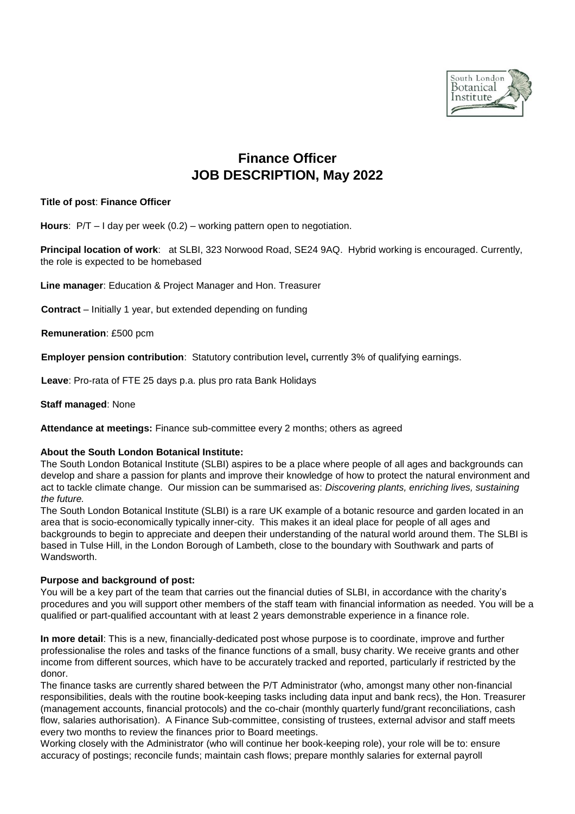

# **Finance Officer JOB DESCRIPTION, May 2022**

# **Title of post**: **Finance Officer**

**Hours**: P/T – I day per week (0.2) – working pattern open to negotiation.

**Principal location of work**: at SLBI, 323 Norwood Road, SE24 9AQ. Hybrid working is encouraged. Currently, the role is expected to be homebased

**Line manager**: Education & Project Manager and Hon. Treasurer

**Contract** – Initially 1 year, but extended depending on funding

**Remuneration**: £500 pcm

**Employer pension contribution**: Statutory contribution level**,** currently 3% of qualifying earnings.

**Leave**: Pro-rata of FTE 25 days p.a. plus pro rata Bank Holidays

## **Staff managed**: None

**Attendance at meetings:** Finance sub-committee every 2 months; others as agreed

## **About the South London Botanical Institute:**

The South London Botanical Institute (SLBI) aspires to be a place where people of all ages and backgrounds can develop and share a passion for plants and improve their knowledge of how to protect the natural environment and act to tackle climate change. Our mission can be summarised as: *Discovering plants, enriching lives, sustaining the future.*

The South London Botanical Institute (SLBI) is a rare UK example of a botanic resource and garden located in an area that is socio-economically typically inner-city. This makes it an ideal place for people of all ages and backgrounds to begin to appreciate and deepen their understanding of the natural world around them. The SLBI is based in Tulse Hill, in the London Borough of Lambeth, close to the boundary with Southwark and parts of Wandsworth.

# **Purpose and background of post:**

You will be a key part of the team that carries out the financial duties of SLBI, in accordance with the charity's procedures and you will support other members of the staff team with financial information as needed. You will be a qualified or part-qualified accountant with at least 2 years demonstrable experience in a finance role.

**In more detail**: This is a new, financially-dedicated post whose purpose is to coordinate, improve and further professionalise the roles and tasks of the finance functions of a small, busy charity. We receive grants and other income from different sources, which have to be accurately tracked and reported, particularly if restricted by the donor.

The finance tasks are currently shared between the P/T Administrator (who, amongst many other non-financial responsibilities, deals with the routine book-keeping tasks including data input and bank recs), the Hon. Treasurer (management accounts, financial protocols) and the co-chair (monthly quarterly fund/grant reconciliations, cash flow, salaries authorisation). A Finance Sub-committee, consisting of trustees, external advisor and staff meets every two months to review the finances prior to Board meetings.

Working closely with the Administrator (who will continue her book-keeping role), your role will be to: ensure accuracy of postings; reconcile funds; maintain cash flows; prepare monthly salaries for external payroll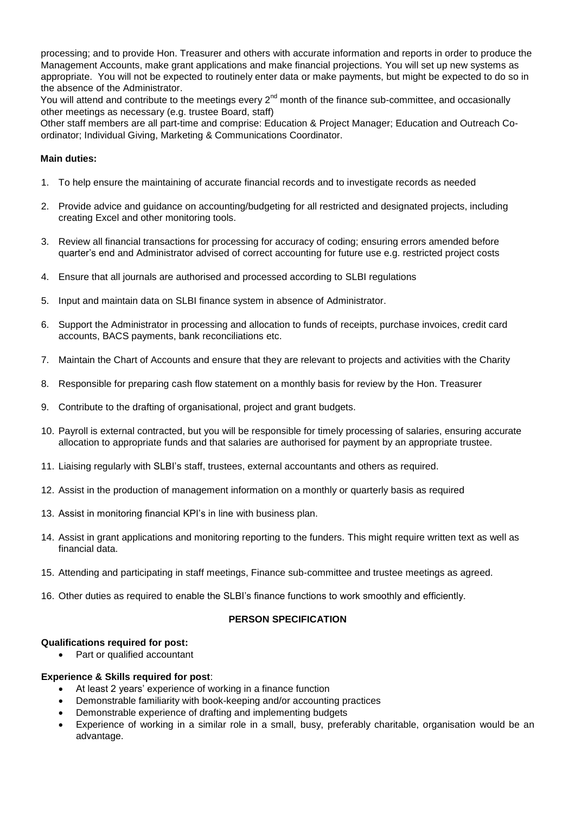processing; and to provide Hon. Treasurer and others with accurate information and reports in order to produce the Management Accounts, make grant applications and make financial projections. You will set up new systems as appropriate. You will not be expected to routinely enter data or make payments, but might be expected to do so in the absence of the Administrator.

You will attend and contribute to the meetings every 2<sup>nd</sup> month of the finance sub-committee, and occasionally other meetings as necessary (e.g. trustee Board, staff)

Other staff members are all part-time and comprise: Education & Project Manager; Education and Outreach Coordinator; Individual Giving, Marketing & Communications Coordinator.

# **Main duties:**

- 1. To help ensure the maintaining of accurate financial records and to investigate records as needed
- 2. Provide advice and guidance on accounting/budgeting for all restricted and designated projects, including creating Excel and other monitoring tools.
- 3. Review all financial transactions for processing for accuracy of coding; ensuring errors amended before quarter's end and Administrator advised of correct accounting for future use e.g. restricted project costs
- 4. Ensure that all journals are authorised and processed according to SLBI regulations
- 5. Input and maintain data on SLBI finance system in absence of Administrator.
- 6. Support the Administrator in processing and allocation to funds of receipts, purchase invoices, credit card accounts, BACS payments, bank reconciliations etc.
- 7. Maintain the Chart of Accounts and ensure that they are relevant to projects and activities with the Charity
- 8. Responsible for preparing cash flow statement on a monthly basis for review by the Hon. Treasurer
- 9. Contribute to the drafting of organisational, project and grant budgets.
- 10. Payroll is external contracted, but you will be responsible for timely processing of salaries, ensuring accurate allocation to appropriate funds and that salaries are authorised for payment by an appropriate trustee.
- 11. Liaising regularly with SLBI's staff, trustees, external accountants and others as required.
- 12. Assist in the production of management information on a monthly or quarterly basis as required
- 13. Assist in monitoring financial KPI's in line with business plan.
- 14. Assist in grant applications and monitoring reporting to the funders. This might require written text as well as financial data.
- 15. Attending and participating in staff meetings, Finance sub-committee and trustee meetings as agreed.
- 16. Other duties as required to enable the SLBI's finance functions to work smoothly and efficiently.

## **PERSON SPECIFICATION**

## **Qualifications required for post:**

• Part or qualified accountant

## **Experience & Skills required for post**:

- At least 2 years' experience of working in a finance function
- Demonstrable familiarity with book-keeping and/or accounting practices
- Demonstrable experience of drafting and implementing budgets
- Experience of working in a similar role in a small, busy, preferably charitable, organisation would be an advantage.